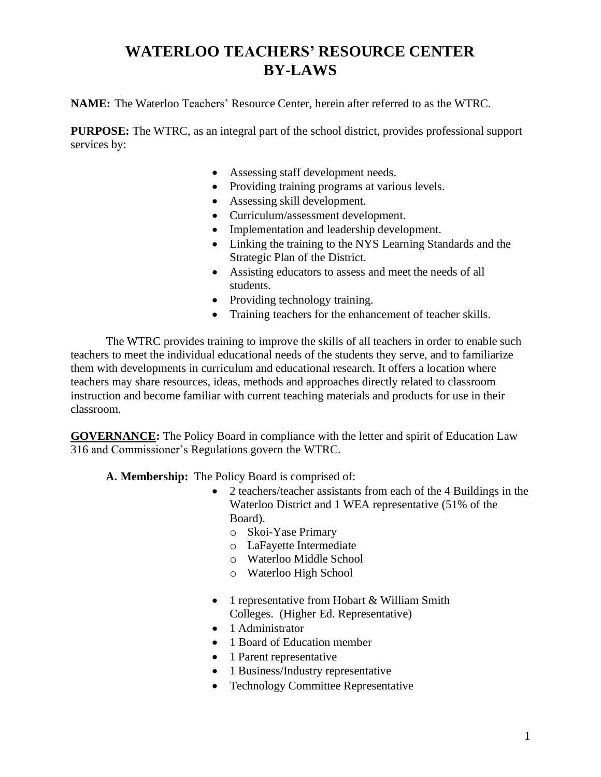# **WATERLOO TEACHERS' RESOURCE CENTER BY-LAWS**

**NAME:** The Waterloo Teachers' Resource Center, herein after referred to as the WTRC.

**PURPOSE:** The WTRC, as an integral part of the school district, provides professional support services by:

- Assessing staff development needs.
- Providing training programs at various levels.
- Assessing skill development.
- Curriculum/assessment development.
- Implementation and leadership development.
- Linking the training to the NYS Learning Standards and the Strategic Plan of the District.
- Assisting educators to assess and meet the needs of all students.
- Providing technology training.
- Training teachers for the enhancement of teacher skills.

The WTRC provides training to improve the skills of all teachers in order to enable such teachers to meet the individual educational needs of the students they serve, and to familiarize them with developments in curriculum and educational research. It offers a location where teachers may share resources, ideas, methods and approaches directly related to classroom instruction and become familiar with current teaching materials and products for use in their classroom.

**GOVERNANCE:** The Policy Board in compliance with the letter and spirit of Education Law 316 and Commissioner's Regulations govern the WTRC.

**A. Membership:** The Policy Board is comprised of:

- 2 teachers/teacher assistants from each of the 4 Buildings in the Waterloo District and 1 WEA representative (51% of the Board).
	- o Skoi-Yase Primary
	- o LaFayette Intermediate
	- o Waterloo Middle School
	- o Waterloo High School
- 1 representative from Hobart & William Smith Colleges. (Higher Ed. Representative)
- 1 Administrator
- 1 Board of Education member
- 1 Parent representative
- 1 Business/Industry representative
- Technology Committee Representative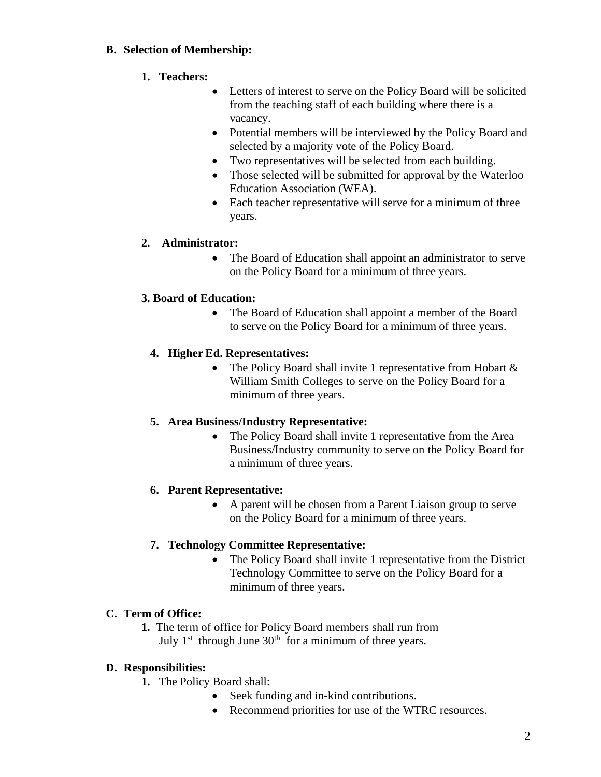#### **B. Selection of Membership:**

#### **1. Teachers:**

- Letters of interest to serve on the Policy Board will be solicited from the teaching staff of each building where there is a vacancy.
- Potential members will be interviewed by the Policy Board and selected by a majority vote of the Policy Board.
- Two representatives will be selected from each building.
- Those selected will be submitted for approval by the Waterloo Education Association (WEA).
- Each teacher representative will serve for a minimum of three years.

## **2. Administrator:**

• The Board of Education shall appoint an administrator to serve on the Policy Board for a minimum of three years.

## **3. Board of Education:**

• The Board of Education shall appoint a member of the Board to serve on the Policy Board for a minimum of three years.

## **4. Higher Ed. Representatives:**

• The Policy Board shall invite 1 representative from Hobart  $\&$ William Smith Colleges to serve on the Policy Board for a minimum of three years.

#### **5. Area Business/Industry Representative:**

• The Policy Board shall invite 1 representative from the Area Business/Industry community to serve on the Policy Board for a minimum of three years.

## **6. Parent Representative:**

• A parent will be chosen from a Parent Liaison group to serve on the Policy Board for a minimum of three years.

#### **7. Technology Committee Representative:**

• The Policy Board shall invite 1 representative from the District Technology Committee to serve on the Policy Board for a minimum of three years.

#### **C. Term of Office:**

**1.** The term of office for Policy Board members shall run from July  $1<sup>st</sup>$  through June  $30<sup>th</sup>$  for a minimum of three years.

#### **D. Responsibilities:**

**1.** The Policy Board shall:

- Seek funding and in-kind contributions.
- Recommend priorities for use of the WTRC resources.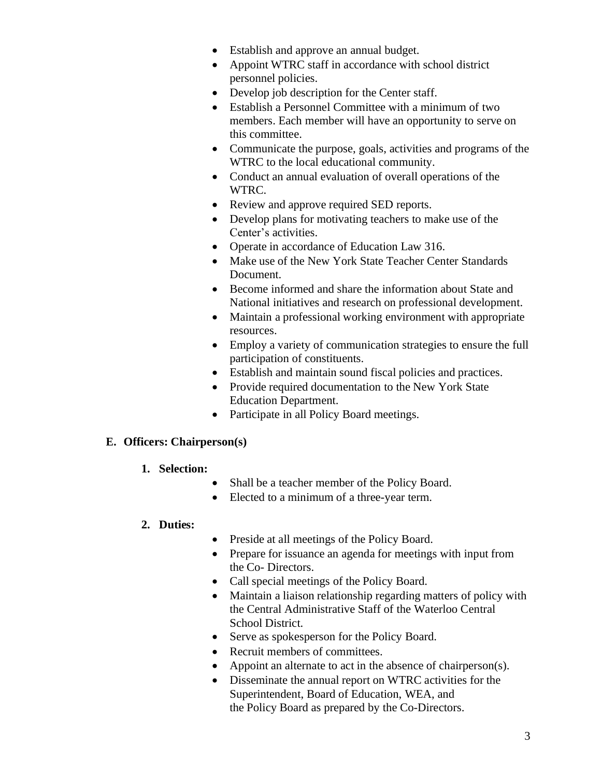- Establish and approve an annual budget.
- Appoint WTRC staff in accordance with school district personnel policies.
- Develop job description for the Center staff.
- Establish a Personnel Committee with a minimum of two members. Each member will have an opportunity to serve on this committee.
- Communicate the purpose, goals, activities and programs of the WTRC to the local educational community.
- Conduct an annual evaluation of overall operations of the WTRC.
- Review and approve required SED reports.
- Develop plans for motivating teachers to make use of the Center's activities.
- Operate in accordance of Education Law 316.
- Make use of the New York State Teacher Center Standards Document.
- Become informed and share the information about State and National initiatives and research on professional development.
- Maintain a professional working environment with appropriate resources.
- Employ a variety of communication strategies to ensure the full participation of constituents.
- Establish and maintain sound fiscal policies and practices.
- Provide required documentation to the New York State Education Department.
- Participate in all Policy Board meetings.

#### **E. Officers: Chairperson(s)**

- **1. Selection:**
	- Shall be a teacher member of the Policy Board.
	- Elected to a minimum of a three-year term.

#### **2. Duties:**

- Preside at all meetings of the Policy Board.
- Prepare for issuance an agenda for meetings with input from the Co- Directors.
- Call special meetings of the Policy Board.
- Maintain a liaison relationship regarding matters of policy with the Central Administrative Staff of the Waterloo Central School District.
- Serve as spokesperson for the Policy Board.
- Recruit members of committees.
- Appoint an alternate to act in the absence of chairperson(s).
- Disseminate the annual report on WTRC activities for the Superintendent, Board of Education, WEA, and the Policy Board as prepared by the Co-Directors.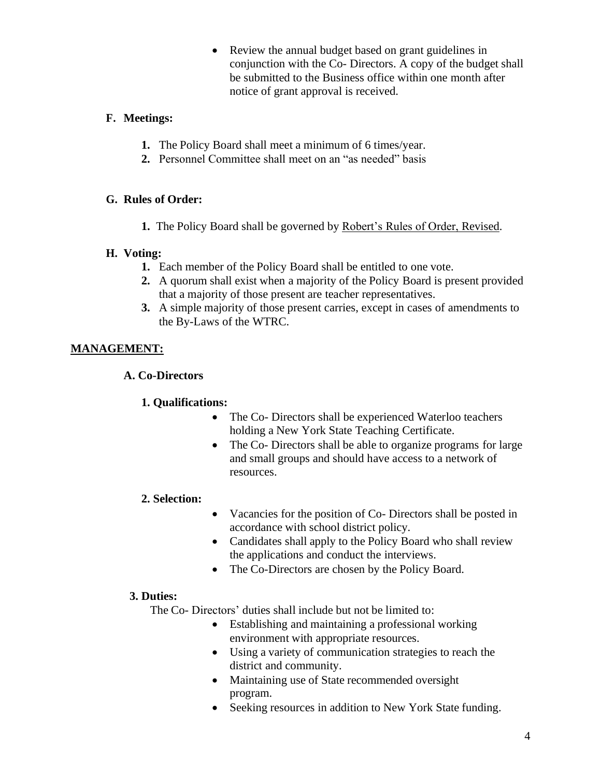• Review the annual budget based on grant guidelines in conjunction with the Co- Directors. A copy of the budget shall be submitted to the Business office within one month after notice of grant approval is received.

#### **F. Meetings:**

- **1.** The Policy Board shall meet a minimum of 6 times/year.
- **2.** Personnel Committee shall meet on an "as needed" basis

## **G. Rules of Order:**

**1.** The Policy Board shall be governed by Robert's Rules of Order, Revised.

## **H. Voting:**

- **1.** Each member of the Policy Board shall be entitled to one vote.
- **2.** A quorum shall exist when a majority of the Policy Board is present provided that a majority of those present are teacher representatives.
- **3.** A simple majority of those present carries, except in cases of amendments to the By-Laws of the WTRC.

## **MANAGEMENT:**

## **A. Co-Directors**

## **1. Qualifications:**

- The Co- Directors shall be experienced Waterloo teachers holding a New York State Teaching Certificate.
- The Co- Directors shall be able to organize programs for large and small groups and should have access to a network of resources.

## **2. Selection:**

- Vacancies for the position of Co- Directors shall be posted in accordance with school district policy.
- Candidates shall apply to the Policy Board who shall review the applications and conduct the interviews.
- The Co-Directors are chosen by the Policy Board.

## **3. Duties:**

The Co- Directors' duties shall include but not be limited to:

- Establishing and maintaining a professional working environment with appropriate resources.
- Using a variety of communication strategies to reach the district and community.
- Maintaining use of State recommended oversight program.
- Seeking resources in addition to New York State funding.